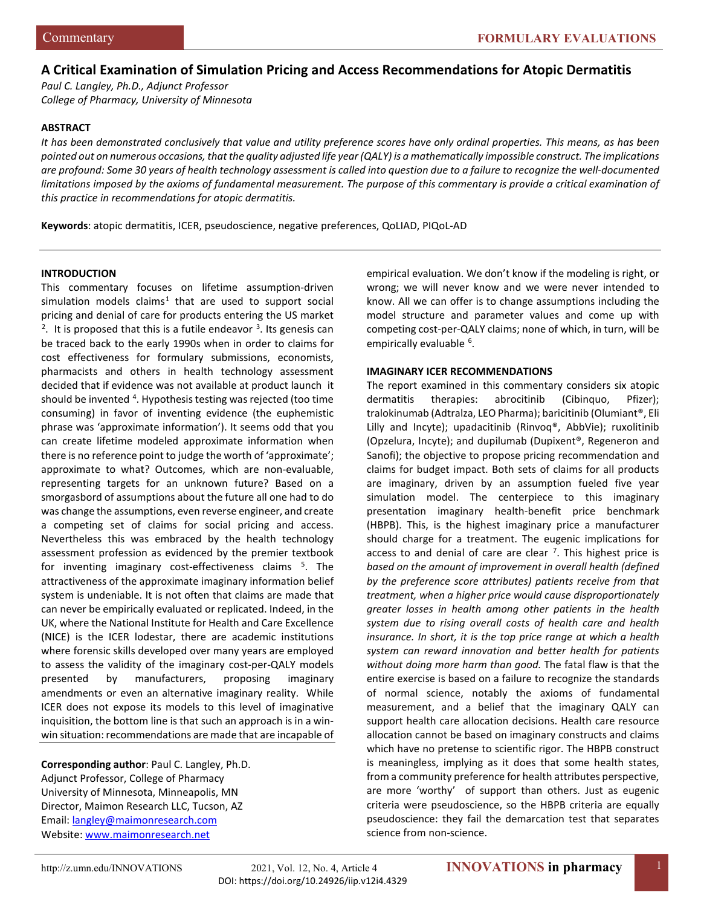# **A Critical Examination of Simulation Pricing and Access Recommendations for Atopic Dermatitis**

*Paul C. Langley, Ph.D., Adjunct Professor College of Pharmacy, University of Minnesota*

#### **ABSTRACT**

*It has been demonstrated conclusively that value and utility preference scores have only ordinal properties. This means, as has been pointed out on numerous occasions, that the quality adjusted life year (QALY) is a mathematically impossible construct. The implications are profound: Some 30 years of health technology assessment is called into question due to a failure to recognize the well-documented limitations imposed by the axioms of fundamental measurement. The purpose of this commentary is provide a critical examination of this practice in recommendations for atopic dermatitis.*

**Keywords**: atopic dermatitis, ICER, pseudoscience, negative preferences, QoLIAD, PIQoL-AD

## **INTRODUCTION**

This commentary focuses on lifetime assumption-driven simulation models claims<sup>[1](#page-5-0)</sup> that are used to support social pricing and denial of care for products entering the US market <sup>[2](#page-5-1)</sup>. It is proposed that this is a futile endeavor  $3$ . Its genesis can be traced back to the early 1990s when in order to claims for cost effectiveness for formulary submissions, economists, pharmacists and others in health technology assessment decided that if evidence was not available at product launch it should be invented <sup>[4](#page-5-3)</sup>. Hypothesis testing was rejected (too time consuming) in favor of inventing evidence (the euphemistic phrase was 'approximate information'). It seems odd that you can create lifetime modeled approximate information when there is no reference point to judge the worth of 'approximate'; approximate to what? Outcomes, which are non-evaluable, representing targets for an unknown future? Based on a smorgasbord of assumptions about the future all one had to do was change the assumptions, even reverse engineer, and create a competing set of claims for social pricing and access. Nevertheless this was embraced by the health technology assessment profession as evidenced by the premier textbook for inventing imaginary cost-effectiveness claims <sup>[5](#page-5-4)</sup>. The attractiveness of the approximate imaginary information belief system is undeniable. It is not often that claims are made that can never be empirically evaluated or replicated. Indeed, in the UK, where the National Institute for Health and Care Excellence (NICE) is the ICER lodestar, there are academic institutions where forensic skills developed over many years are employed to assess the validity of the imaginary cost-per-QALY models presented by manufacturers, proposing imaginary amendments or even an alternative imaginary reality. While ICER does not expose its models to this level of imaginative inquisition, the bottom line is that such an approach is in a winwin situation: recommendations are made that are incapable of

**Corresponding author**: Paul C. Langley, Ph.D. Adjunct Professor, College of Pharmacy University of Minnesota, Minneapolis, MN Director, Maimon Research LLC, Tucson, AZ Email: [langley@maimonresearch.com](mailto:langley@maimonresearch.com) Website[: www.maimonresearch.net](http://www.maimonresearch.net/)

empirical evaluation. We don't know if the modeling is right, or wrong; we will never know and we were never intended to know. All we can offer is to change assumptions including the model structure and parameter values and come up with competing cost-per-QALY claims; none of which, in turn, will be empirically evaluable <sup>[6](#page-5-5)</sup>.

## **IMAGINARY ICER RECOMMENDATIONS**

The report examined in this commentary considers six atopic dermatitis therapies: abrocitinib (Cibinquo, Pfizer); tralokinumab (Adtralza, LEO Pharma); baricitinib (Olumiant®, Eli Lilly and Incyte); upadacitinib (Rinvoq®, AbbVie); ruxolitinib (Opzelura, Incyte); and dupilumab (Dupixent®, Regeneron and Sanofi); the objective to propose pricing recommendation and claims for budget impact. Both sets of claims for all products are imaginary, driven by an assumption fueled five year simulation model. The centerpiece to this imaginary presentation imaginary health-benefit price benchmark (HBPB). This, is the highest imaginary price a manufacturer should charge for a treatment. The eugenic implications for access to and denial of care are clear  $<sup>7</sup>$  $<sup>7</sup>$  $<sup>7</sup>$ . This highest price is</sup> *based on the amount of improvement in overall health (defined by the preference score attributes) patients receive from that treatment, when a higher price would cause disproportionately greater losses in health among other patients in the health system due to rising overall costs of health care and health insurance. In short, it is the top price range at which a health system can reward innovation and better health for patients without doing more harm than good.* The fatal flaw is that the entire exercise is based on a failure to recognize the standards of normal science, notably the axioms of fundamental measurement, and a belief that the imaginary QALY can support health care allocation decisions. Health care resource allocation cannot be based on imaginary constructs and claims which have no pretense to scientific rigor. The HBPB construct is meaningless, implying as it does that some health states, from a community preference for health attributes perspective, are more 'worthy' of support than others. Just as eugenic criteria were pseudoscience, so the HBPB criteria are equally pseudoscience: they fail the demarcation test that separates science from non-science.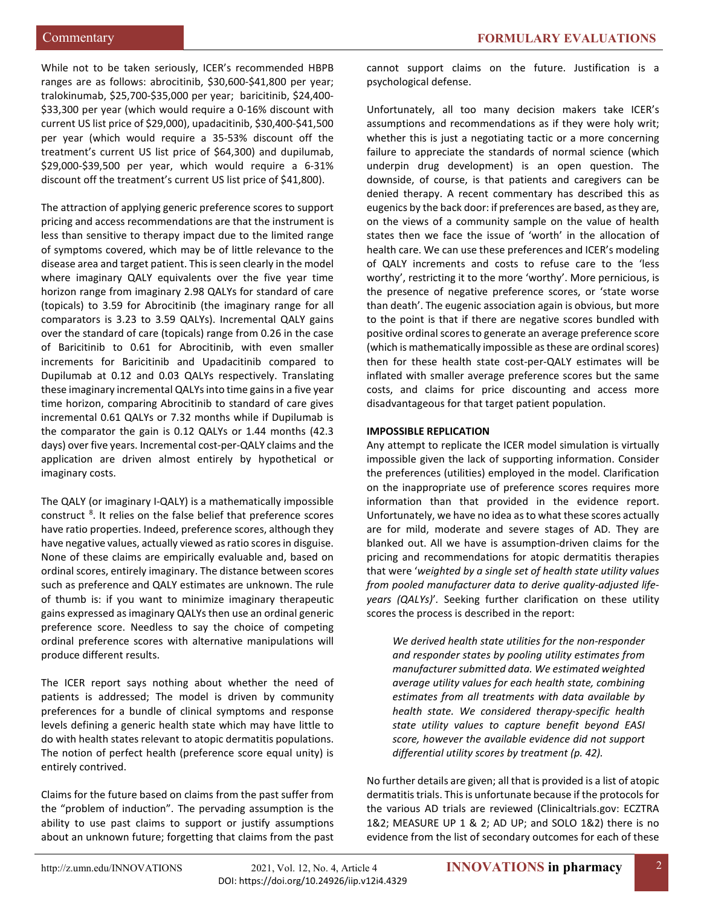While not to be taken seriously, ICER's recommended HBPB ranges are as follows: abrocitinib, \$30,600-\$41,800 per year; tralokinumab, \$25,700-\$35,000 per year; baricitinib, \$24,400- \$33,300 per year (which would require a 0-16% discount with current US list price of \$29,000), upadacitinib, \$30,400-\$41,500 per year (which would require a 35-53% discount off the treatment's current US list price of \$64,300) and dupilumab, \$29,000-\$39,500 per year, which would require a 6-31% discount off the treatment's current US list price of \$41,800).

The attraction of applying generic preference scores to support pricing and access recommendations are that the instrument is less than sensitive to therapy impact due to the limited range of symptoms covered, which may be of little relevance to the disease area and target patient. This is seen clearly in the model where imaginary QALY equivalents over the five year time horizon range from imaginary 2.98 QALYs for standard of care (topicals) to 3.59 for Abrocitinib (the imaginary range for all comparators is 3.23 to 3.59 QALYs). Incremental QALY gains over the standard of care (topicals) range from 0.26 in the case of Baricitinib to 0.61 for Abrocitinib, with even smaller increments for Baricitinib and Upadacitinib compared to Dupilumab at 0.12 and 0.03 QALYs respectively. Translating these imaginary incremental QALYs into time gains in a five year time horizon, comparing Abrocitinib to standard of care gives incremental 0.61 QALYs or 7.32 months while if Dupilumab is the comparator the gain is 0.12 QALYs or 1.44 months (42.3 days) over five years. Incremental cost-per-QALY claims and the application are driven almost entirely by hypothetical or imaginary costs.

The QALY (or imaginary I-QALY) is a mathematically impossible construct<sup>[8](#page-5-7)</sup>. It relies on the false belief that preference scores have ratio properties. Indeed, preference scores, although they have negative values, actually viewed as ratio scores in disguise. None of these claims are empirically evaluable and, based on ordinal scores, entirely imaginary. The distance between scores such as preference and QALY estimates are unknown. The rule of thumb is: if you want to minimize imaginary therapeutic gains expressed as imaginary QALYs then use an ordinal generic preference score. Needless to say the choice of competing ordinal preference scores with alternative manipulations will produce different results.

The ICER report says nothing about whether the need of patients is addressed; The model is driven by community preferences for a bundle of clinical symptoms and response levels defining a generic health state which may have little to do with health states relevant to atopic dermatitis populations. The notion of perfect health (preference score equal unity) is entirely contrived.

Claims for the future based on claims from the past suffer from the "problem of induction". The pervading assumption is the ability to use past claims to support or justify assumptions about an unknown future; forgetting that claims from the past

cannot support claims on the future. Justification is a psychological defense.

Unfortunately, all too many decision makers take ICER's assumptions and recommendations as if they were holy writ; whether this is just a negotiating tactic or a more concerning failure to appreciate the standards of normal science (which underpin drug development) is an open question. The downside, of course, is that patients and caregivers can be denied therapy. A recent commentary has described this as eugenics by the back door: if preferences are based, as they are, on the views of a community sample on the value of health states then we face the issue of 'worth' in the allocation of health care. We can use these preferences and ICER's modeling of QALY increments and costs to refuse care to the 'less worthy', restricting it to the more 'worthy'. More pernicious, is the presence of negative preference scores, or 'state worse than death'. The eugenic association again is obvious, but more to the point is that if there are negative scores bundled with positive ordinal scores to generate an average preference score (which is mathematically impossible as these are ordinal scores) then for these health state cost-per-QALY estimates will be inflated with smaller average preference scores but the same costs, and claims for price discounting and access more disadvantageous for that target patient population.

## **IMPOSSIBLE REPLICATION**

Any attempt to replicate the ICER model simulation is virtually impossible given the lack of supporting information. Consider the preferences (utilities) employed in the model. Clarification on the inappropriate use of preference scores requires more information than that provided in the evidence report. Unfortunately, we have no idea as to what these scores actually are for mild, moderate and severe stages of AD. They are blanked out. All we have is assumption-driven claims for the pricing and recommendations for atopic dermatitis therapies that were '*weighted by a single set of health state utility values from pooled manufacturer data to derive quality-adjusted lifeyears (QALYs)*'*.* Seeking further clarification on these utility scores the process is described in the report:

*We derived health state utilities for the non-responder and responder states by pooling utility estimates from manufacturer submitted data. We estimated weighted average utility values for each health state, combining estimates from all treatments with data available by health state. We considered therapy-specific health state utility values to capture benefit beyond EASI score, however the available evidence did not support differential utility scores by treatment (p. 42).*

No further details are given; all that is provided is a list of atopic dermatitis trials. This is unfortunate because if the protocols for the various AD trials are reviewed (Clinicaltrials.gov: ECZTRA 1&2; MEASURE UP 1 & 2; AD UP; and SOLO 1&2) there is no evidence from the list of secondary outcomes for each of these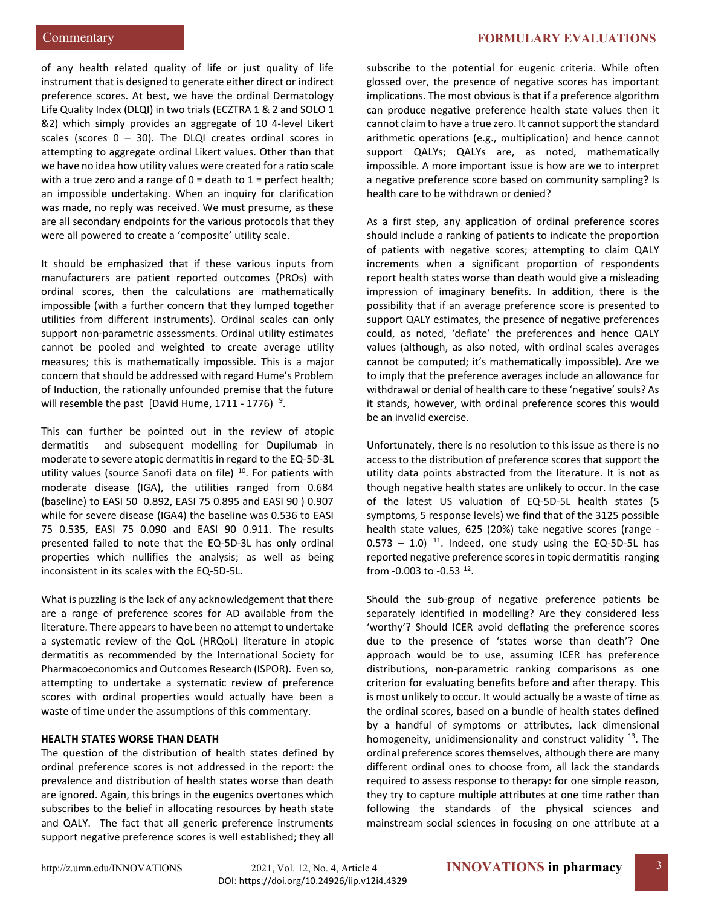of any health related quality of life or just quality of life instrument that is designed to generate either direct or indirect preference scores. At best, we have the ordinal Dermatology Life Quality Index (DLQI) in two trials (ECZTRA 1 & 2 and SOLO 1 &2) which simply provides an aggregate of 10 4-level Likert scales (scores  $0 - 30$ ). The DLQI creates ordinal scores in attempting to aggregate ordinal Likert values. Other than that we have no idea how utility values were created for a ratio scale with a true zero and a range of  $0 =$  death to  $1 =$  perfect health; an impossible undertaking. When an inquiry for clarification was made, no reply was received. We must presume, as these are all secondary endpoints for the various protocols that they were all powered to create a 'composite' utility scale.

It should be emphasized that if these various inputs from manufacturers are patient reported outcomes (PROs) with ordinal scores, then the calculations are mathematically impossible (with a further concern that they lumped together utilities from different instruments). Ordinal scales can only support non-parametric assessments. Ordinal utility estimates cannot be pooled and weighted to create average utility measures; this is mathematically impossible. This is a major concern that should be addressed with regard Hume's Problem of Induction, the rationally unfounded premise that the future will resemble the past [David Hume,  $1711 - 1776$ )<sup>[9](#page-5-8)</sup>.

This can further be pointed out in the review of atopic dermatitis and subsequent modelling for Dupilumab in moderate to severe atopic dermatitis in regard to the EQ-5D-3L utility values (source Sanofi data on file)  $10$ . For patients with moderate disease (IGA), the utilities ranged from 0.684 (baseline) to EASI 50 0.892, EASI 75 0.895 and EASI 90 ) 0.907 while for severe disease (IGA4) the baseline was 0.536 to EASI 75 0.535, EASI 75 0.090 and EASI 90 0.911. The results presented failed to note that the EQ-5D-3L has only ordinal properties which nullifies the analysis; as well as being inconsistent in its scales with the EQ-5D-5L.

What is puzzling is the lack of any acknowledgement that there are a range of preference scores for AD available from the literature. There appears to have been no attempt to undertake a systematic review of the QoL (HRQoL) literature in atopic dermatitis as recommended by the International Society for Pharmacoeconomics and Outcomes Research (ISPOR). Even so, attempting to undertake a systematic review of preference scores with ordinal properties would actually have been a waste of time under the assumptions of this commentary.

## **HEALTH STATES WORSE THAN DEATH**

The question of the distribution of health states defined by ordinal preference scores is not addressed in the report: the prevalence and distribution of health states worse than death are ignored. Again, this brings in the eugenics overtones which subscribes to the belief in allocating resources by heath state and QALY. The fact that all generic preference instruments support negative preference scores is well established; they all

subscribe to the potential for eugenic criteria. While often glossed over, the presence of negative scores has important implications. The most obvious is that if a preference algorithm can produce negative preference health state values then it cannot claim to have a true zero. It cannot support the standard arithmetic operations (e.g., multiplication) and hence cannot support QALYs; QALYs are, as noted, mathematically impossible. A more important issue is how are we to interpret a negative preference score based on community sampling? Is health care to be withdrawn or denied?

As a first step, any application of ordinal preference scores should include a ranking of patients to indicate the proportion of patients with negative scores; attempting to claim QALY increments when a significant proportion of respondents report health states worse than death would give a misleading impression of imaginary benefits. In addition, there is the possibility that if an average preference score is presented to support QALY estimates, the presence of negative preferences could, as noted, 'deflate' the preferences and hence QALY values (although, as also noted, with ordinal scales averages cannot be computed; it's mathematically impossible). Are we to imply that the preference averages include an allowance for withdrawal or denial of health care to these 'negative' souls? As it stands, however, with ordinal preference scores this would be an invalid exercise.

Unfortunately, there is no resolution to this issue as there is no access to the distribution of preference scores that support the utility data points abstracted from the literature. It is not as though negative health states are unlikely to occur. In the case of the latest US valuation of EQ-5D-5L health states (5 symptoms, 5 response levels) we find that of the 3125 possible health state values, 625 (20%) take negative scores (range -  $0.573 - 1.0$ )<sup>11</sup>. Indeed, one study using the EQ-5D-5L has reported negative preference scores in topic dermatitis ranging from  $-0.003$  to  $-0.53$   $^{12}$  $^{12}$  $^{12}$ .

Should the sub-group of negative preference patients be separately identified in modelling? Are they considered less 'worthy'? Should ICER avoid deflating the preference scores due to the presence of 'states worse than death'? One approach would be to use, assuming ICER has preference distributions, non-parametric ranking comparisons as one criterion for evaluating benefits before and after therapy. This is most unlikely to occur. It would actually be a waste of time as the ordinal scores, based on a bundle of health states defined by a handful of symptoms or attributes, lack dimensional homogeneity, unidimensionality and construct validity  $13$ . The ordinal preference scores themselves, although there are many different ordinal ones to choose from, all lack the standards required to assess response to therapy: for one simple reason, they try to capture multiple attributes at one time rather than following the standards of the physical sciences and mainstream social sciences in focusing on one attribute at a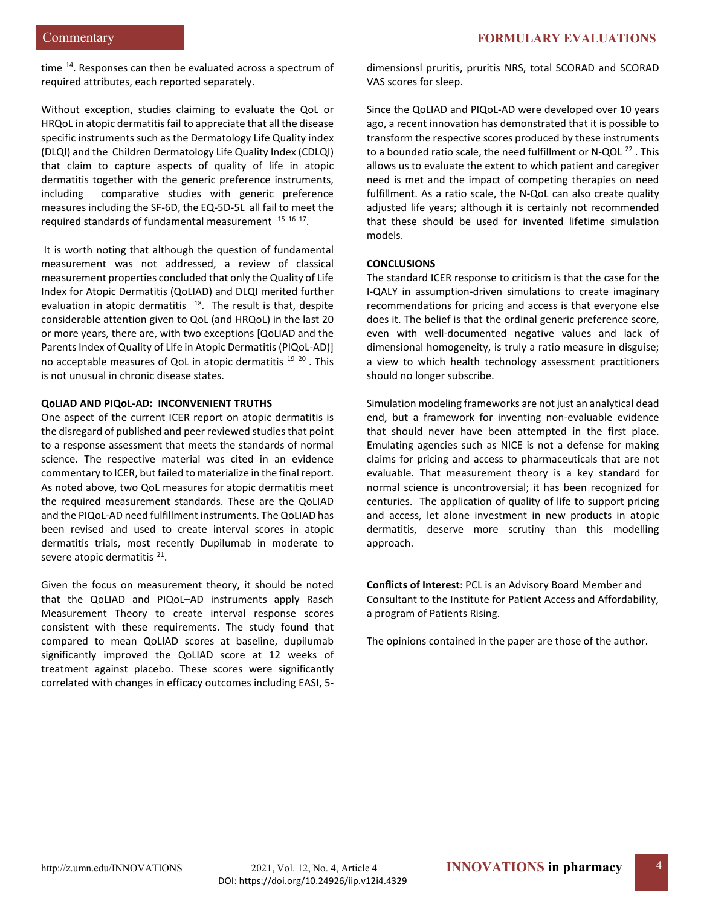time <sup>14</sup>. Responses can then be evaluated across a spectrum of required attributes, each reported separately.

Without exception, studies claiming to evaluate the QoL or HRQoL in atopic dermatitis fail to appreciate that all the disease specific instruments such as the Dermatology Life Quality index (DLQI) and the Children Dermatology Life Quality Index (CDLQI) that claim to capture aspects of quality of life in atopic dermatitis together with the generic preference instruments, including comparative studies with generic preference measures including the SF-6D, the EQ-5D-5L all fail to meet the required standards of fundamental measurement [15](#page-5-14) [16](#page-5-15) [17.](#page-5-16)

It is worth noting that although the question of fundamental measurement was not addressed, a review of classical measurement properties concluded that only the Quality of Life Index for Atopic Dermatitis (QoLIAD) and DLQI merited further evaluation in atopic dermatitis  $18$ . The result is that, despite considerable attention given to QoL (and HRQoL) in the last 20 or more years, there are, with two exceptions [QoLIAD and the Parents Index of Quality of Life in Atopic Dermatitis (PIQoL-AD)] no acceptable measures of QoL in atopic dermatitis <sup>[19](#page-5-18) [20](#page-5-19)</sup>. This is not unusual in chronic disease states.

## **QoLIAD AND PIQoL-AD: INCONVENIENT TRUTHS**

One aspect of the current ICER report on atopic dermatitis is the disregard of published and peer reviewed studies that point to a response assessment that meets the standards of normal science. The respective material was cited in an evidence commentary to ICER, but failed to materialize in the final report. As noted above, two QoL measures for atopic dermatitis meet the required measurement standards. These are the QoLIAD and the PIQoL-AD need fulfillment instruments. The QoLIAD has been revised and used to create interval scores in atopic dermatitis trials, most recently Dupilumab in moderate to severe atopic dermatitis <sup>21</sup>.

Given the focus on measurement theory, it should be noted that the QoLIAD and PIQoL–AD instruments apply Rasch Measurement Theory to create interval response scores consistent with these requirements. The study found that compared to mean QoLIAD scores at baseline, dupilumab significantly improved the QoLIAD score at 12 weeks of treatment against placebo. These scores were significantly correlated with changes in efficacy outcomes including EASI, 5dimensionsl pruritis, pruritis NRS, total SCORAD and SCORAD VAS scores for sleep.

Since the QoLIAD and PIQoL-AD were developed over 10 years ago, a recent innovation has demonstrated that it is possible to transform the respective scores produced by these instruments to a bounded ratio scale, the need fulfillment or N-QOL<sup>[22](#page-5-3)</sup>. This allows us to evaluate the extent to which patient and caregiver need is met and the impact of competing therapies on need fulfillment. As a ratio scale, the N-QoL can also create quality adjusted life years; although it is certainly not recommended that these should be used for invented lifetime simulation models.

## **CONCLUSIONS**

The standard ICER response to criticism is that the case for the I-QALY in assumption-driven simulations to create imaginary recommendations for pricing and access is that everyone else does it. The belief is that the ordinal generic preference score, even with well-documented negative values and lack of dimensional homogeneity, is truly a ratio measure in disguise; a view to which health technology assessment practitioners should no longer subscribe.

Simulation modeling frameworks are not just an analytical dead end, but a framework for inventing non-evaluable evidence that should never have been attempted in the first place. Emulating agencies such as NICE is not a defense for making claims for pricing and access to pharmaceuticals that are not evaluable. That measurement theory is a key standard for normal science is uncontroversial; it has been recognized for centuries. The application of quality of life to support pricing and access, let alone investment in new products in atopic dermatitis, deserve more scrutiny than this modelling approach.

**Conflicts of Interest**: PCL is an Advisory Board Member and Consultant to the Institute for Patient Access and Affordability, a program of Patients Rising.

The opinions contained in the paper are those of the author.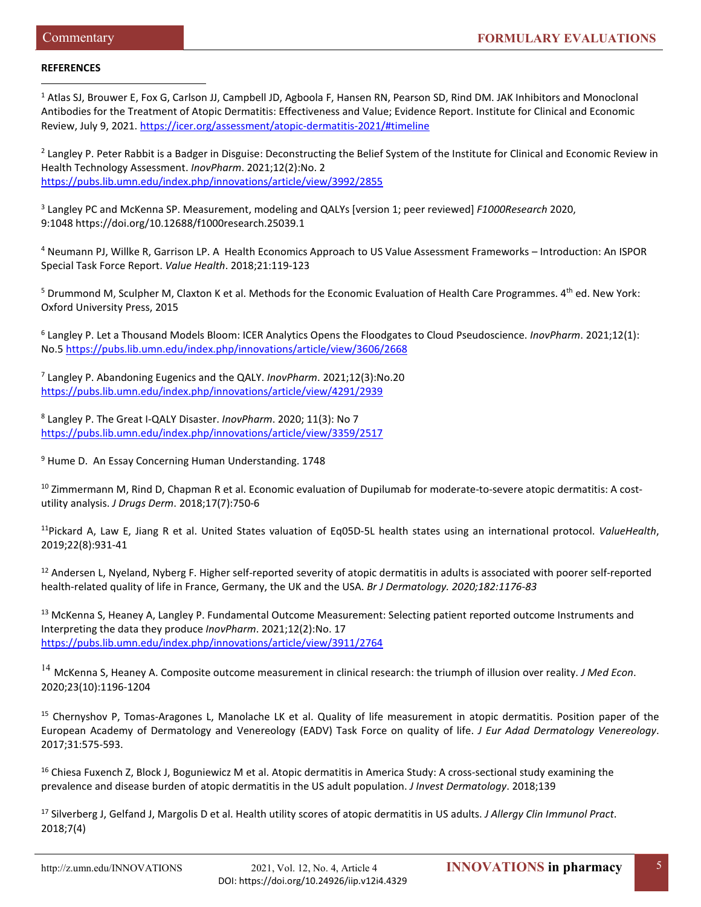## **REFERENCES**

<sup>1</sup> Atlas SJ, Brouwer E, Fox G, Carlson JJ, Campbell JD, Agboola F, Hansen RN, Pearson SD, Rind DM. JAK Inhibitors and Monoclonal Antibodies for the Treatment of Atopic Dermatitis: Effectiveness and Value; Evidence Report. Institute for Clinical and Economic Review, July 9, 2021[. https://icer.org/assessment/atopic-dermatitis-2021/#timeline](https://icer.org/assessment/atopic-dermatitis-2021/#timeline)  $\overline{a}$ 

<sup>2</sup> Langley P. Peter Rabbit is a Badger in Disguise: Deconstructing the Belief System of the Institute for Clinical and Economic Review in Health Technology Assessment. *InovPharm*. 2021;12(2):No. 2 <https://pubs.lib.umn.edu/index.php/innovations/article/view/3992/2855>

<sup>3</sup> Langley PC and McKenna SP. Measurement, modeling and QALYs [version 1; peer reviewed] *F1000Research* 2020, 9:1048 <https://doi.org/10.12688/f1000research.25039.1>

<sup>4</sup> Neumann PJ, Willke R, Garrison LP. A Health Economics Approach to US Value Assessment Frameworks – Introduction: An ISPOR Special Task Force Report. *Value Health*. 2018;21:119-123

 $5$  Drummond M, Sculpher M, Claxton K et al. Methods for the Economic Evaluation of Health Care Programmes.  $4^{th}$  ed. New York: Oxford University Press, 2015

<sup>6</sup> Langley P. Let a Thousand Models Bloom: ICER Analytics Opens the Floodgates to Cloud Pseudoscience. *InovPharm*. 2021;12(1): No.5 <https://pubs.lib.umn.edu/index.php/innovations/article/view/3606/2668>

<sup>7</sup> Langley P. Abandoning Eugenics and the QALY. *InovPharm*. 2021;12(3):No.20 <https://pubs.lib.umn.edu/index.php/innovations/article/view/4291/2939>

<sup>8</sup> Langley P. The Great I-QALY Disaster. *InovPharm*. 2020; 11(3): No 7 <https://pubs.lib.umn.edu/index.php/innovations/article/view/3359/2517>

<sup>9</sup> Hume D. An Essay Concerning Human Understanding. 1748

<sup>10</sup> Zimmermann M, Rind D, Chapman R et al. Economic evaluation of Dupilumab for moderate-to-severe atopic dermatitis: A costutility analysis. *J Drugs Derm*. 2018;17(7):750-6

11Pickard A, Law E, Jiang R et al. United States valuation of Eq05D-5L health states using an international protocol. *ValueHealth*, 2019;22(8):931-41

<sup>12</sup> Andersen L, Nyeland, Nyberg F. Higher self-reported severity of atopic dermatitis in adults is associated with poorer self-reported health-related quality of life in France, Germany, the UK and the USA. *Br J Dermatology. 2020;182:1176-83*

<sup>13</sup> McKenna S, Heaney A, Langley P. Fundamental Outcome Measurement: Selecting patient reported outcome Instruments and Interpreting the data they produce *InovPharm*. 2021;12(2):No. 17 <https://pubs.lib.umn.edu/index.php/innovations/article/view/3911/2764>

<sup>14</sup> McKenna S, Heaney A. Composite outcome measurement in clinical research: the triumph of illusion over reality. *J Med Econ*. 2020;23(10):1196-1204

<sup>15</sup> Chernyshov P, Tomas-Aragones L, Manolache LK et al. Quality of life measurement in atopic dermatitis. Position paper of the European Academy of Dermatology and Venereology (EADV) Task Force on quality of life. *J Eur Adad Dermatology Venereology*. 2017;31:575-593.

<sup>16</sup> Chiesa Fuxench Z, Block J, Boguniewicz M et al. Atopic dermatitis in America Study: A cross-sectional study examining the prevalence and disease burden of atopic dermatitis in the US adult population. *J Invest Dermatology*. 2018;139

<sup>17</sup> Silverberg J, Gelfand J, Margolis D et al. Health utility scores of atopic dermatitis in US adults. *J Allergy Clin Immunol Pract*. 2018;7(4)